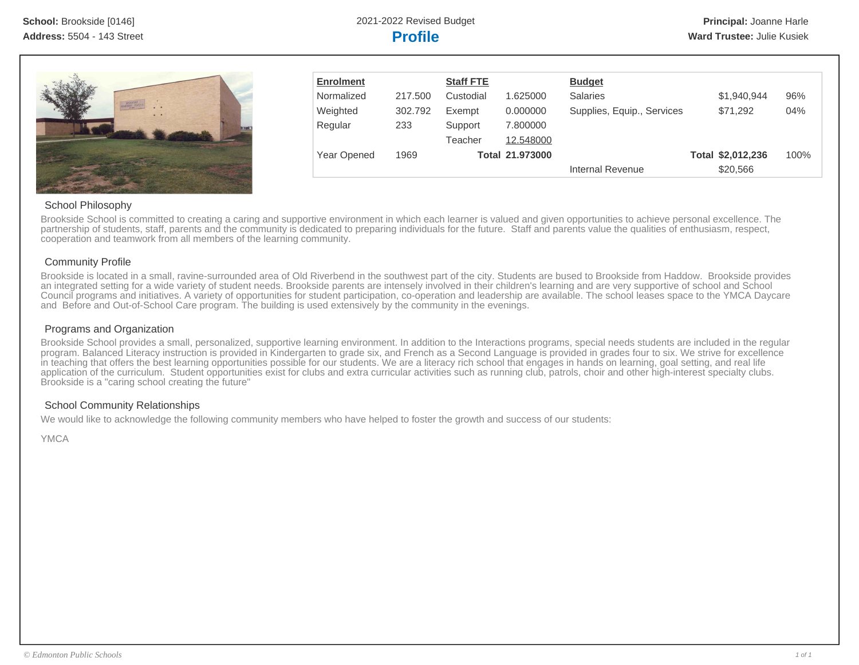**School:** Brookside [0146] 2021-2022 Revised Budget **Principal:** Joanne Harle



| <b>Enrolment</b>   |         | <b>Staff FTE</b> |                        | <b>Budget</b>              |                   |      |
|--------------------|---------|------------------|------------------------|----------------------------|-------------------|------|
| Normalized         | 217.500 | Custodial        | 1.625000               | <b>Salaries</b>            | \$1,940,944       | 96%  |
| Weighted           | 302.792 | Exempt           | 0.000000               | Supplies, Equip., Services | \$71,292          | 04%  |
| Regular            | 233     | Support          | 7.800000               |                            |                   |      |
|                    |         | Teacher          | 12.548000              |                            |                   |      |
| <b>Year Opened</b> | 1969    |                  | <b>Total 21.973000</b> |                            | Total \$2,012,236 | 100% |
|                    |         |                  |                        | Internal Revenue           | \$20,566          |      |

# School Philosophy

Brookside School is committed to creating a caring and supportive environment in which each learner is valued and given opportunities to achieve personal excellence. The partnership of students, staff, parents and the community is dedicated to preparing individuals for the future. Staff and parents value the qualities of enthusiasm, respect, cooperation and teamwork from all members of the learning community.

# Community Profile

Brookside is located in a small, ravine-surrounded area of Old Riverbend in the southwest part of the city. Students are bused to Brookside from Haddow. Brookside provides an integrated setting for a wide variety of student needs. Brookside parents are intensely involved in their children's learning and are very supportive of school and School Council programs and initiatives. A variety of opportunities for student participation, co-operation and leadership are available. The school leases space to the YMCA Daycare and Before and Out-of-School Care program. The building is used extensively by the community in the evenings.

## Programs and Organization

Brookside School provides a small, personalized, supportive learning environment. In addition to the Interactions programs, special needs students are included in the regular program. Balanced Literacy instruction is provided in Kindergarten to grade six, and French as a Second Language is provided in grades four to six. We strive for excellence in teaching that offers the best learning opportunities possible for our students. We are a literacy rich school that engages in hands on learning, goal setting, and real life application of the curriculum. Student opportunities exist for clubs and extra curricular activities such as running club, patrols, choir and other high-interest specialty clubs. Brookside is a "caring school creating the future"

# School Community Relationships

We would like to acknowledge the following community members who have helped to foster the growth and success of our students:

YMCA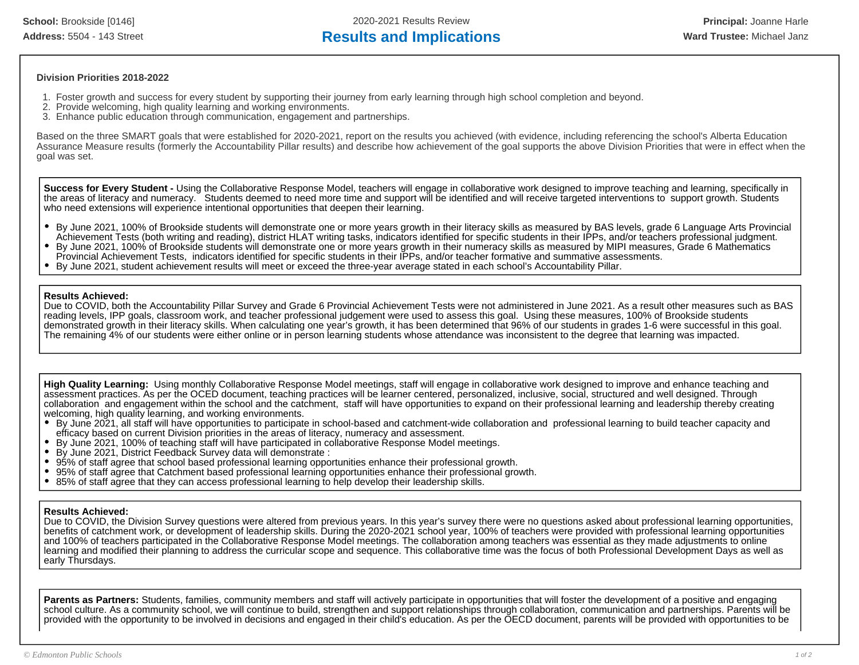### **Division Priorities 2018-2022**

- 1. Foster growth and success for every student by supporting their journey from early learning through high school completion and beyond.
- 2. Provide welcoming, high quality learning and working environments.
- 3. Enhance public education through communication, engagement and partnerships.

Based on the three SMART goals that were established for 2020-2021, report on the results you achieved (with evidence, including referencing the school's Alberta Education Assurance Measure results (formerly the Accountability Pillar results) and describe how achievement of the goal supports the above Division Priorities that were in effect when the goal was set.

**Success for Every Student -** Using the Collaborative Response Model, teachers will engage in collaborative work designed to improve teaching and learning, specifically in the areas of literacy and numeracy. Students deemed to need more time and support will be identified and will receive targeted interventions to support growth. Students who need extensions will experience intentional opportunities that deepen their learning.

- By June 2021, 100% of Brookside students will demonstrate one or more years growth in their literacy skills as measured by BAS levels, grade 6 Language Arts Provincial Achievement Tests (both writing and reading), district HLAT writing tasks, indicators identified for specific students in their IPPs, and/or teachers professional judgment.
- By June 2021, 100% of Brookside students will demonstrate one or more years growth in their numeracy skills as measured by MIPI measures, Grade 6 Mathematics Provincial Achievement Tests, indicators identified for specific students in their IPPs, and/or teacher formative and summative assessments.
- By June 2021, student achievement results will meet or exceed the three-year average stated in each school's Accountability Pillar.

### **Results Achieved:**

Due to COVID, both the Accountability Pillar Survey and Grade 6 Provincial Achievement Tests were not administered in June 2021. As a result other measures such as BAS reading levels, IPP goals, classroom work, and teacher professional judgement were used to assess this goal. Using these measures, 100% of Brookside students demonstrated growth in their literacy skills. When calculating one year's growth, it has been determined that 96% of our students in grades 1-6 were successful in this goal. The remaining 4% of our students were either online or in person learning students whose attendance was inconsistent to the degree that learning was impacted.

**High Quality Learning:** Using monthly Collaborative Response Model meetings, staff will engage in collaborative work designed to improve and enhance teaching and assessment practices. As per the OCED document, teaching practices will be learner centered, personalized, inclusive, social, structured and well designed. Through collaboration and engagement within the school and the catchment, staff will have opportunities to expand on their professional learning and leadership thereby creating welcoming, high quality learning, and working environments.

- By June 2021, all staff will have opportunities to participate in school-based and catchment-wide collaboration and professional learning to build teacher capacity and efficacy based on current Division priorities in the areas of literacy, numeracy and assessment.
- By June 2021, 100% of teaching staff will have participated in collaborative Response Model meetings.
- By June 2021, District Feedback Survey data will demonstrate :
- 95% of staff agree that school based professional learning opportunities enhance their professional growth.
- 95% of staff agree that Catchment based professional learning opportunities enhance their professional growth.
- 85% of staff agree that they can access professional learning to help develop their leadership skills.

### **Results Achieved:**

Due to COVID, the Division Survey questions were altered from previous years. In this year's survey there were no questions asked about professional learning opportunities, benefits of catchment work, or development of leadership skills. During the 2020-2021 school year, 100% of teachers were provided with professional learning opportunities and 100% of teachers participated in the Collaborative Response Model meetings. The collaboration among teachers was essential as they made adjustments to online learning and modified their planning to address the curricular scope and sequence. This collaborative time was the focus of both Professional Development Days as well as early Thursdays.

Parents as Partners: Students, families, community members and staff will actively participate in opportunities that will foster the development of a positive and engaging school culture. As a community school, we will continue to build, strengthen and support relationships through collaboration, communication and partnerships. Parents will be provided with the opportunity to be involved in decisions and engaged in their child's education. As per the OECD document, parents will be provided with opportunities to be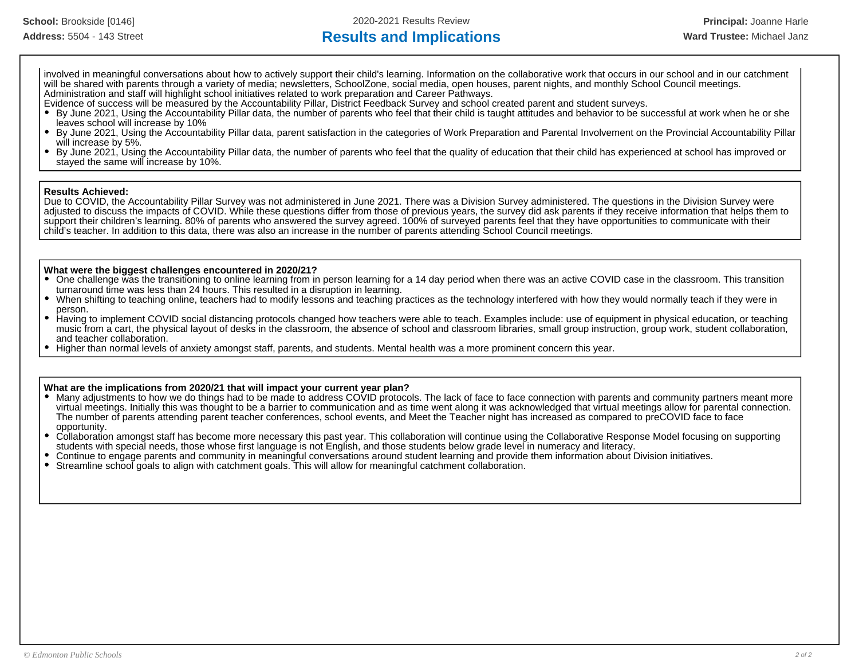# Address: 5504 - 143 Street **Results and Implications Results and Implications Ward Trustee:** Michael Janz

involved in meaningful conversations about how to actively support their child's learning. Information on the collaborative work that occurs in our school and in our catchment will be shared with parents through a variety of media; newsletters, SchoolZone, social media, open houses, parent nights, and monthly School Council meetings. Administration and staff will highlight school initiatives related to work preparation and Career Pathways.

Evidence of success will be measured by the Accountability Pillar, District Feedback Survey and school created parent and student surveys.

- By June 2021, Using the Accountability Pillar data, the number of parents who feel that their child is taught attitudes and behavior to be successful at work when he or she leaves school will increase by 10%
- $\bullet$ By June 2021, Using the Accountability Pillar data, parent satisfaction in the categories of Work Preparation and Parental Involvement on the Provincial Accountability Pillar will increase by 5%.
- By June 2021, Using the Accountability Pillar data, the number of parents who feel that the quality of education that their child has experienced at school has improved or  $\bullet$ stayed the same will increase by 10%.

### **Results Achieved:**

Due to COVID, the Accountability Pillar Survey was not administered in June 2021. There was a Division Survey administered. The questions in the Division Survey were adjusted to discuss the impacts of COVID. While these questions differ from those of previous years, the survey did ask parents if they receive information that helps them to support their children's learning. 80% of parents who answered the survey agreed. 100% of surveyed parents feel that they have opportunities to communicate with their child's teacher. In addition to this data, there was also an increase in the number of parents attending School Council meetings.

### **What were the biggest challenges encountered in 2020/21?**

- One challenge was the transitioning to online learning from in person learning for a 14 day period when there was an active COVID case in the classroom. This transition turnaround time was less than 24 hours. This resulted in a disruption in learning.
- When shifting to teaching online, teachers had to modify lessons and teaching practices as the technology interfered with how they would normally teach if they were in person.
- Having to implement COVID social distancing protocols changed how teachers were able to teach. Examples include: use of equipment in physical education, or teaching music from a cart, the physical layout of desks in the classroom, the absence of school and classroom libraries, small group instruction, group work, student collaboration, and teacher collaboration.
- Higher than normal levels of anxiety amongst staff, parents, and students. Mental health was a more prominent concern this year.

### **What are the implications from 2020/21 that will impact your current year plan?**

- Many adjustments to how we do things had to be made to address COVID protocols. The lack of face to face connection with parents and community partners meant more virtual meetings. Initially this was thought to be a barrier to communication and as time went along it was acknowledged that virtual meetings allow for parental connection. The number of parents attending parent teacher conferences, school events, and Meet the Teacher night has increased as compared to preCOVID face to face opportunity.
- Collaboration amongst staff has become more necessary this past year. This collaboration will continue using the Collaborative Response Model focusing on supporting students with special needs, those whose first language is not English, and those students below grade level in numeracy and literacy.
- Continue to engage parents and community in meaningful conversations around student learning and provide them information about Division initiatives.
- Streamline school goals to align with catchment goals. This will allow for meaningful catchment collaboration.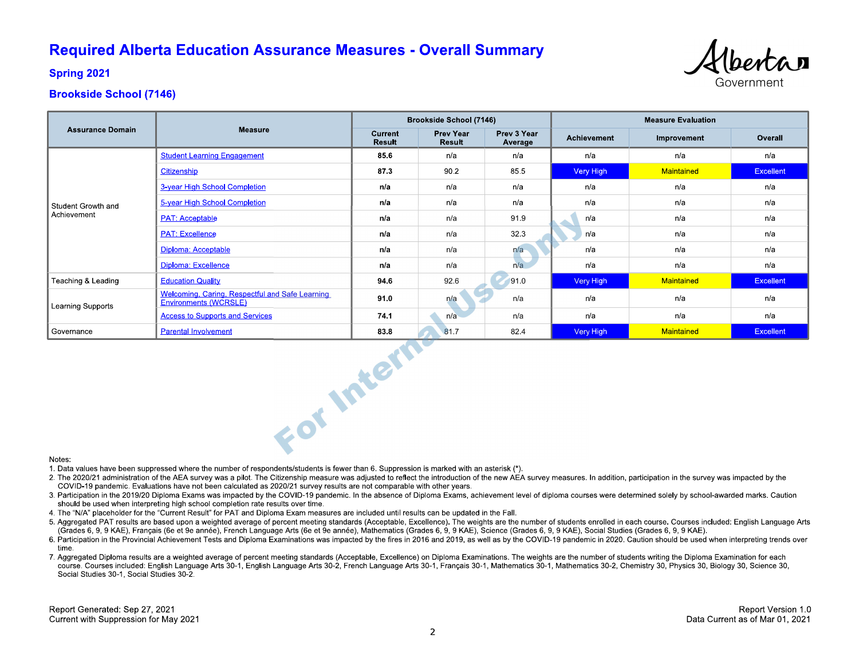# **Required Alberta Education Assurance Measures - Overall Summary**



**Spring 2021** 

# **Brookside School (7146)**

|                                   |                                                                          | <b>Brookside School (7146)</b> |                                   |                        | <b>Measure Evaluation</b> |             |                  |
|-----------------------------------|--------------------------------------------------------------------------|--------------------------------|-----------------------------------|------------------------|---------------------------|-------------|------------------|
| <b>Assurance Domain</b>           | <b>Measure</b>                                                           | Current<br>Result              | <b>Prev Year</b><br><b>Result</b> | Prev 3 Year<br>Average | <b>Achievement</b>        | Improvement | Overall          |
| Student Growth and<br>Achievement | <b>Student Learning Engagement</b>                                       | 85.6                           | n/a                               | n/a                    | n/a                       | n/a         | n/a              |
|                                   | Citizenship                                                              | 873                            | 90.2                              | 85.5                   | Very High                 | Maintained  | <b>Excellent</b> |
|                                   | 3-year High School Completion                                            | n/a                            | n/a                               | n/a                    | n/a                       | n/a         | n/a              |
|                                   | 5-year High School Completion                                            | n/a                            | n/a                               | n/a                    | n/a                       | n/a         | n/a              |
|                                   | <b>PAT: Acceptable</b>                                                   | n/a                            | n/a                               | 91.9                   | n/a                       | n/a         | n/a              |
|                                   | <b>PAT: Excellence</b>                                                   | n/a                            | n/a                               | 32.3                   | n/a                       | n/a         | n/a              |
|                                   | Diploma: Acceptable                                                      | n/a                            | n/a                               | n/a                    | n/a                       | n/a         | n/a              |
|                                   | Diploma: Excellence                                                      | n/a                            | n/a                               | n/a                    | n/a                       | n/a         | n/a              |
| Teaching & Leading                | <b>Education Quality</b>                                                 | 94.6                           | 92.6                              | 91.0                   | Very High                 | Maintained  | <b>Excellent</b> |
| <b>Learning Supports</b>          | Welcoming, Caring, Respectful and Safe Learning<br>Environments (WCRSLE) | 91.0                           | n/a                               | n/a                    | n/a                       | n/a         | n/a              |
|                                   | <b>Access to Supports and Services</b>                                   | 74.1                           | n/a                               | n/a                    | n/a                       | n/a         | n/a              |
| Governance                        | <b>Parental Involvement</b>                                              | 83.8                           | 81.7                              | 82.4                   | Very High                 | Maintained  | <b>Excellent</b> |
| Notes:                            | For Intern                                                               |                                |                                   |                        |                           |             |                  |

#### Notes:

1. Data values have been suppressed where the number of respondents/students is fewer than 6. Suppression is marked with an asterisk (\*).

- 2. The 2020/21 administration of the AEA survey was a pilot. The Citizenship measure was adjusted to reflect the introduction of the new AEA survey measures. In addition, participation in the survey was impacted by the COVID-19 pandemic. Evaluations have not been calculated as 2020/21 survey results are not comparable with other years.
- 3. Participation in the 2019/20 Diploma Exams was impacted by the COVID-19 pandemic. In the absence of Diploma Exams, achievement level of diploma courses were determined solely by school-awarded marks. Caution should be used when interpreting high school completion rate results over time.
- 4. The "N/A" placeholder for the "Current Result" for PAT and Diploma Exam measures are included until results can be updated in the Fall.
- 5. Aggregated PAT results are based upon a weighted average of percent meeting standards (Acceptable, Excellence). The weights are the number of students enrolled in each course. Courses included: English Language Arts (Grades 6, 9, 9 KAE), Français (6e et 9e année), French Language Arts (6e et 9e année), Mathematics (Grades 6, 9, 9 KAE), Science (Grades 6, 9, 9 KAE), Social Studies (Grades 6, 9, 9 KAE).
- 6. Participation in the Provincial Achievement Tests and Diploma Examinations was impacted by the fires in 2016 and 2019, as well as by the COVID-19 pandemic in 2020. Caution should be used when interpreting trends over time
- 7. Aggregated Diploma results are a weighted average of percent meeting standards (Acceptable, Excellence) on Diploma Examinations. The weights are the number of students writing the Diploma Examination for each course. Courses included: English Language Arts 30-1, English Language Arts 30-2, French Language Arts 30-1, Français 30-1, Mathematics 30-1, Mathematics 30-2, Chemistry 30, Physics 30, Biology 30, Science 30, Social Studies 30-1, Social Studies 30-2.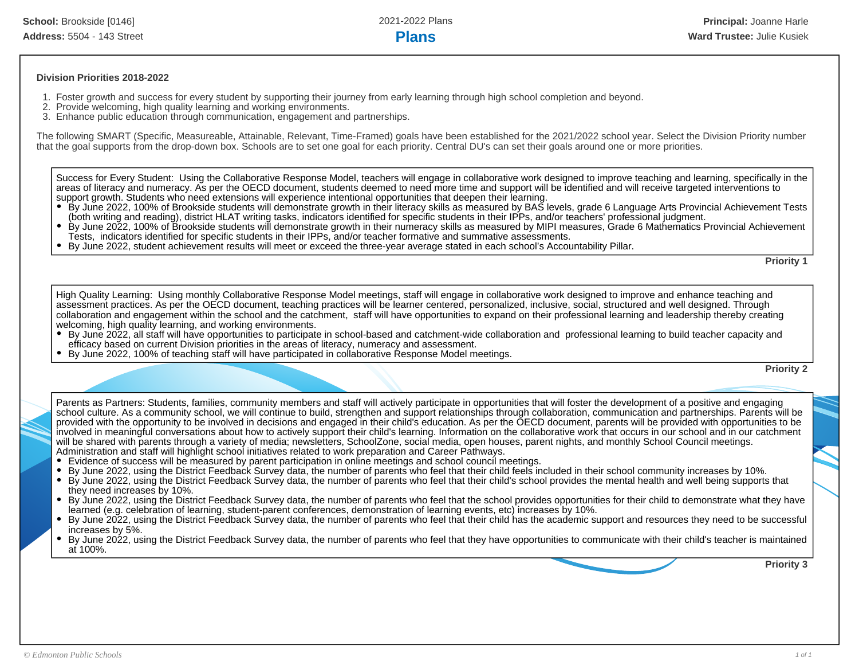### **Division Priorities 2018-2022**

- 1. Foster growth and success for every student by supporting their journey from early learning through high school completion and beyond.
- 2. Provide welcoming, high quality learning and working environments.
- 3. Enhance public education through communication, engagement and partnerships.

The following SMART (Specific, Measureable, Attainable, Relevant, Time-Framed) goals have been established for the 2021/2022 school year. Select the Division Priority number that the goal supports from the drop-down box. Schools are to set one goal for each priority. Central DU's can set their goals around one or more priorities.

Success for Every Student: Using the Collaborative Response Model, teachers will engage in collaborative work designed to improve teaching and learning, specifically in the areas of literacy and numeracy. As per the OECD document, students deemed to need more time and support will be identified and will receive targeted interventions to support growth. Students who need extensions will experience intentional opportunities that deepen their learning.

- By June 2022, 100% of Brookside students will demonstrate growth in their literacy skills as measured by BAS levels, grade 6 Language Arts Provincial Achievement Tests (both writing and reading), district HLAT writing tasks, indicators identified for specific students in their IPPs, and/or teachers' professional judgment.
- By June 2022, 100% of Brookside students will demonstrate growth in their numeracy skills as measured by MIPI measures, Grade 6 Mathematics Provincial Achievement Tests, indicators identified for specific students in their IPPs, and/or teacher formative and summative assessments.
- By June 2022, student achievement results will meet or exceed the three-year average stated in each school's Accountability Pillar.

**Priority 1**

High Quality Learning: Using monthly Collaborative Response Model meetings, staff will engage in collaborative work designed to improve and enhance teaching and assessment practices. As per the OECD document, teaching practices will be learner centered, personalized, inclusive, social, structured and well designed. Through collaboration and engagement within the school and the catchment, staff will have opportunities to expand on their professional learning and leadership thereby creating welcoming, high quality learning, and working environments.

- By June 2022, all staff will have opportunities to participate in school-based and catchment-wide collaboration and professional learning to build teacher capacity and efficacy based on current Division priorities in the areas of literacy, numeracy and assessment.
- By June 2022, 100% of teaching staff will have participated in collaborative Response Model meetings.

**Priority 2**

Parents as Partners: Students, families, community members and staff will actively participate in opportunities that will foster the development of a positive and engaging school culture. As a community school, we will continue to build, strengthen and support relationships through collaboration, communication and partnerships. Parents will be provided with the opportunity to be involved in decisions and engaged in their child's education. As per the OECD document, parents will be provided with opportunities to be involved in meaningful conversations about how to actively support their child's learning. Information on the collaborative work that occurs in our school and in our catchment will be shared with parents through a variety of media; newsletters, SchoolZone, social media, open houses, parent nights, and monthly School Council meetings. Administration and staff will highlight school initiatives related to work preparation and Career Pathways.

- Evidence of success will be measured by parent participation in online meetings and school council meetings.
- By June 2022, using the District Feedback Survey data, the number of parents who feel that their child feels included in their school community increases by 10%.
- By June 2022, using the District Feedback Survey data, the number of parents who feel that their child's school provides the mental health and well being supports that they need increases by 10%.
- By June 2022, using the District Feedback Survey data, the number of parents who feel that the school provides opportunities for their child to demonstrate what they have learned (e.g. celebration of learning, student-parent conferences, demonstration of learning events, etc) increases by 10%.
- By June 2022, using the District Feedback Survey data, the number of parents who feel that their child has the academic support and resources they need to be successful increases by 5%.
- By June 2022, using the District Feedback Survey data, the number of parents who feel that they have opportunities to communicate with their child's teacher is maintained at 100%.

**Priority 3**